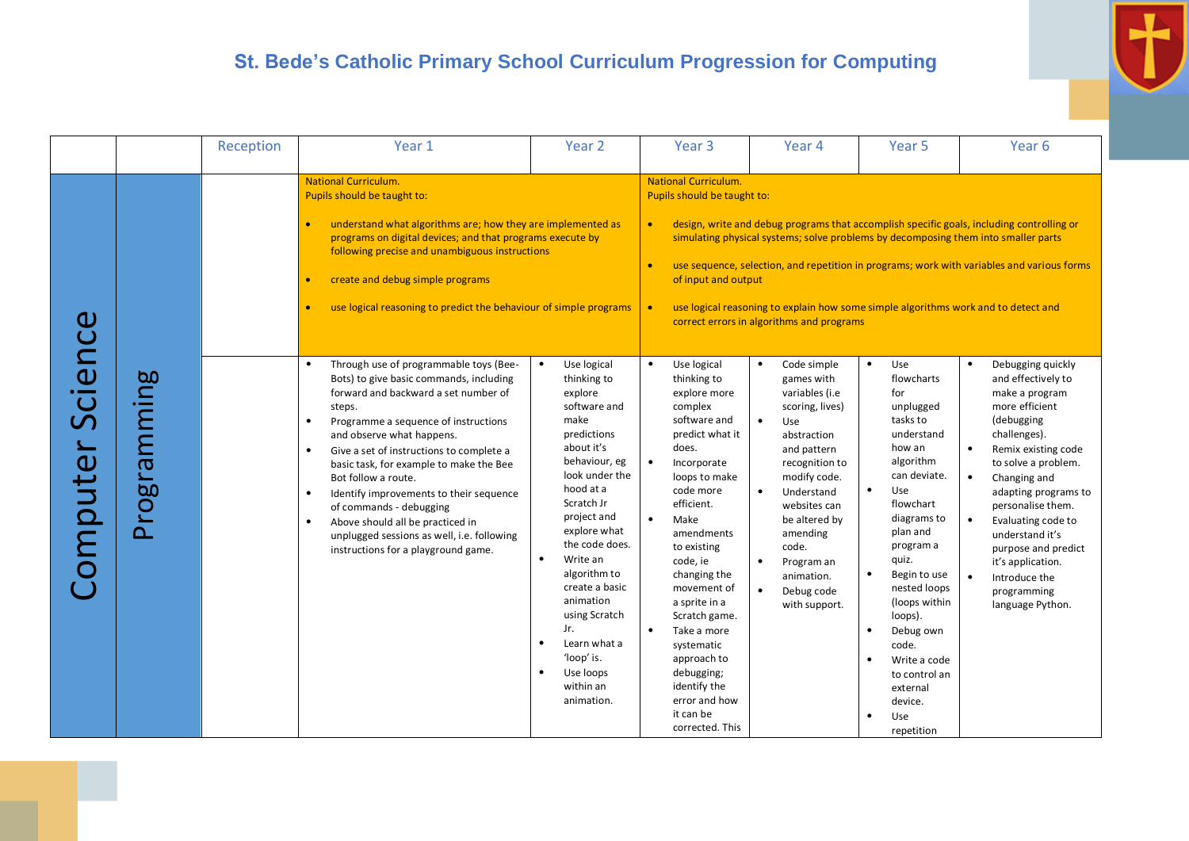

|         |             | Reception | Year 1                                                                                                                                                                                                                                                                                                                                                                                                                                                                                                                          | Year <sub>2</sub>                                                                                                                                                                                                                                                                                                                                                                          | Year <sub>3</sub>                                                                                                                                                                                                                                                                                                                                                                          | Year 4                                                                                                                                                                                                                                                                                                    | Year <sub>5</sub>                                                                                                                                                                                                                                                                                                                                                                       | Year 6                                                                                                                                                                                                                                                                                                                                                                                       |
|---------|-------------|-----------|---------------------------------------------------------------------------------------------------------------------------------------------------------------------------------------------------------------------------------------------------------------------------------------------------------------------------------------------------------------------------------------------------------------------------------------------------------------------------------------------------------------------------------|--------------------------------------------------------------------------------------------------------------------------------------------------------------------------------------------------------------------------------------------------------------------------------------------------------------------------------------------------------------------------------------------|--------------------------------------------------------------------------------------------------------------------------------------------------------------------------------------------------------------------------------------------------------------------------------------------------------------------------------------------------------------------------------------------|-----------------------------------------------------------------------------------------------------------------------------------------------------------------------------------------------------------------------------------------------------------------------------------------------------------|-----------------------------------------------------------------------------------------------------------------------------------------------------------------------------------------------------------------------------------------------------------------------------------------------------------------------------------------------------------------------------------------|----------------------------------------------------------------------------------------------------------------------------------------------------------------------------------------------------------------------------------------------------------------------------------------------------------------------------------------------------------------------------------------------|
| Science |             |           | <b>National Curriculum.</b><br>Pupils should be taught to:<br>understand what algorithms are; how they are implemented as<br>programs on digital devices; and that programs execute by<br>following precise and unambiguous instructions<br>create and debug simple programs<br>use logical reasoning to predict the behaviour of simple programs<br>Through use of programmable toys (Bee-                                                                                                                                     | Use logical                                                                                                                                                                                                                                                                                                                                                                                | <b>National Curriculum.</b><br>Pupils should be taught to:<br>$\bullet$<br>$\bullet$<br>of input and output<br>$\bullet$<br>Use logical                                                                                                                                                                                                                                                    | simulating physical systems; solve problems by decomposing them into smaller parts<br>use logical reasoning to explain how some simple algorithms work and to detect and<br>correct errors in algorithms and programs<br>Code simple<br>$\bullet$                                                         | Use<br>$\bullet$                                                                                                                                                                                                                                                                                                                                                                        | design, write and debug programs that accomplish specific goals, including controlling or<br>use sequence, selection, and repetition in programs; work with variables and various forms<br>Debugging quickly<br>$\bullet$                                                                                                                                                                    |
| jompute | Programming |           | Bots) to give basic commands, including<br>forward and backward a set number of<br>steps.<br>Programme a sequence of instructions<br>$\bullet$<br>and observe what happens.<br>Give a set of instructions to complete a<br>$\bullet$<br>basic task, for example to make the Bee<br>Bot follow a route.<br>Identify improvements to their sequence<br>$\bullet$<br>of commands - debugging<br>Above should all be practiced in<br>$\bullet$<br>unplugged sessions as well, i.e. following<br>instructions for a playground game. | thinking to<br>explore<br>software and<br>make<br>predictions<br>about it's<br>behaviour, eg<br>look under the<br>hood at a<br>Scratch Jr<br>project and<br>explore what<br>the code does.<br>$\bullet$<br>Write an<br>algorithm to<br>create a basic<br>animation<br>using Scratch<br>Jr.<br>Learn what a<br>$\bullet$<br>'loop' is.<br>Use loops<br>$\bullet$<br>within an<br>animation. | thinking to<br>explore more<br>complex<br>software and<br>predict what it<br>does.<br>Incorporate<br>loops to make<br>code more<br>efficient.<br>Make<br>amendments<br>to existing<br>code, ie<br>changing the<br>movement of<br>a sprite in a<br>Scratch game.<br>Take a more<br>systematic<br>approach to<br>debugging;<br>identify the<br>error and how<br>it can be<br>corrected. This | games with<br>variables (i.e<br>scoring, lives)<br>$\bullet$<br>Use<br>abstraction<br>and pattern<br>recognition to<br>modify code.<br>$\bullet$<br>Understand<br>websites can<br>be altered by<br>amending<br>code.<br>$\bullet$<br>Program an<br>animation.<br>$\bullet$<br>Debug code<br>with support. | flowcharts<br>for<br>unplugged<br>tasks to<br>understand<br>how an<br>algorithm<br>can deviate.<br>$\bullet$<br>Use<br>flowchart<br>diagrams to<br>plan and<br>program a<br>quiz.<br>$\bullet$<br>Begin to use<br>nested loops<br>(loops within<br>loops).<br>$\bullet$<br>Debug own<br>code.<br>Write a code<br>to control an<br>external<br>device.<br>Use<br>$\bullet$<br>repetition | and effectively to<br>make a program<br>more efficient<br>(debugging<br>challenges).<br>$\bullet$<br>Remix existing code<br>to solve a problem.<br>$\bullet$<br>Changing and<br>adapting programs to<br>personalise them.<br>$\bullet$<br>Evaluating code to<br>understand it's<br>purpose and predict<br>it's application.<br>$\bullet$<br>Introduce the<br>programming<br>language Python. |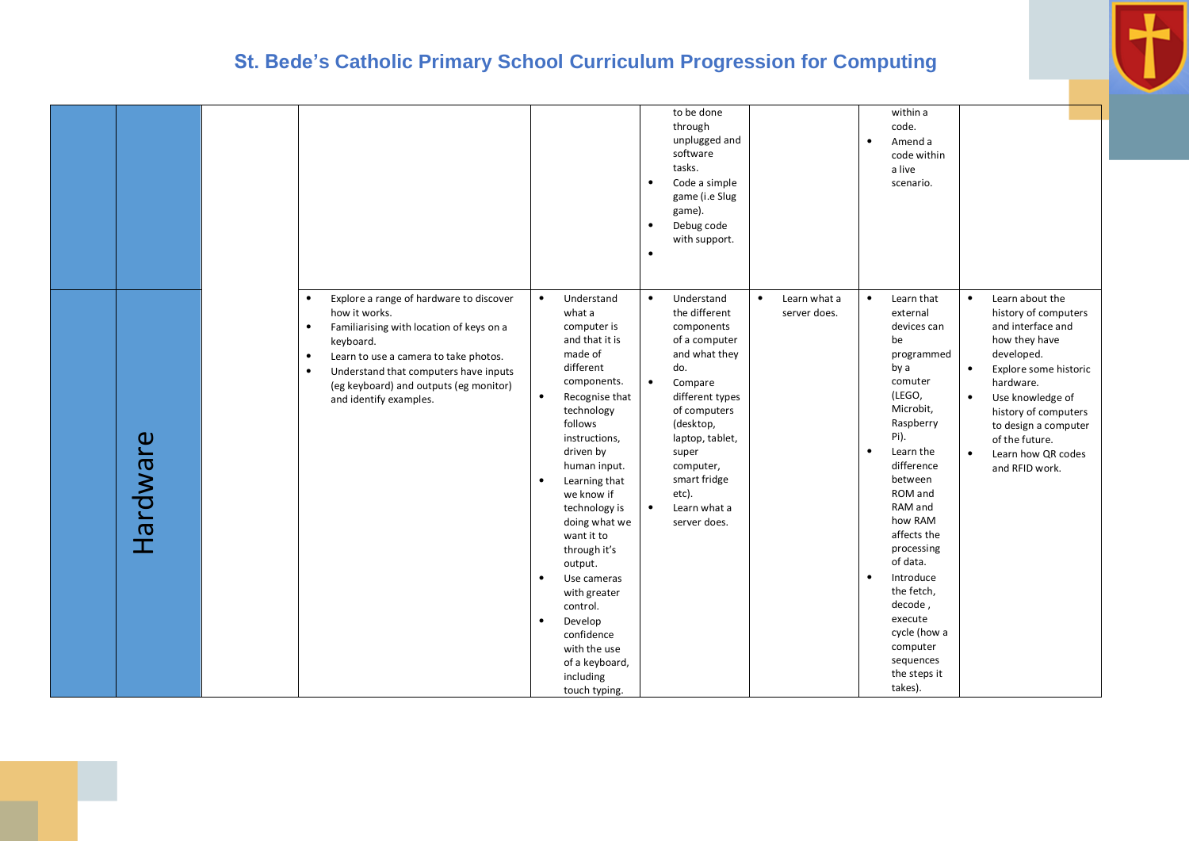|          |                                                                                                                                                                                                                                                                                                                             |                                                                                                                                                                                                                                                                                                                                                                                                                                                                                                      | to be done<br>through<br>unplugged and<br>software<br>tasks.<br>Code a simple<br>$\bullet$<br>game (i.e Slug<br>game).<br>$\bullet$<br>Debug code<br>with support.<br>$\bullet$                                                                                                        |                                           | within a<br>code.<br>Amend a<br>$\bullet$<br>code within<br>a live<br>scenario.                                                                                                                                                                                                                                                                                                         |                                                                                                                                                                                                                                                                                                                     |
|----------|-----------------------------------------------------------------------------------------------------------------------------------------------------------------------------------------------------------------------------------------------------------------------------------------------------------------------------|------------------------------------------------------------------------------------------------------------------------------------------------------------------------------------------------------------------------------------------------------------------------------------------------------------------------------------------------------------------------------------------------------------------------------------------------------------------------------------------------------|----------------------------------------------------------------------------------------------------------------------------------------------------------------------------------------------------------------------------------------------------------------------------------------|-------------------------------------------|-----------------------------------------------------------------------------------------------------------------------------------------------------------------------------------------------------------------------------------------------------------------------------------------------------------------------------------------------------------------------------------------|---------------------------------------------------------------------------------------------------------------------------------------------------------------------------------------------------------------------------------------------------------------------------------------------------------------------|
| Hardware | Explore a range of hardware to discover<br>$\bullet$<br>how it works.<br>Familiarising with location of keys on a<br>$\bullet$<br>keyboard.<br>Learn to use a camera to take photos.<br>$\bullet$<br>Understand that computers have inputs<br>$\bullet$<br>(eg keyboard) and outputs (eg monitor)<br>and identify examples. | Understand<br>$\bullet$<br>what a<br>computer is<br>and that it is<br>made of<br>different<br>components.<br>$\bullet$<br>Recognise that<br>technology<br>follows<br>instructions,<br>driven by<br>human input.<br>Learning that<br>$\bullet$<br>we know if<br>technology is<br>doing what we<br>want it to<br>through it's<br>output.<br>Use cameras<br>$\bullet$<br>with greater<br>control.<br>Develop<br>$\bullet$<br>confidence<br>with the use<br>of a keyboard,<br>including<br>touch typing. | $\bullet$<br>Understand<br>the different<br>components<br>of a computer<br>and what they<br>do.<br>$\bullet$<br>Compare<br>different types<br>of computers<br>(desktop,<br>laptop, tablet,<br>super<br>computer,<br>smart fridge<br>etc).<br>$\bullet$<br>Learn what a<br>server does. | Learn what a<br>$\bullet$<br>server does. | $\bullet$<br>Learn that<br>external<br>devices can<br>be<br>programmed<br>by a<br>comuter<br>(LEGO,<br>Microbit,<br>Raspberry<br>Pi).<br>Learn the<br>$\bullet$<br>difference<br>between<br>ROM and<br>RAM and<br>how RAM<br>affects the<br>processing<br>of data.<br>Introduce<br>the fetch,<br>decode,<br>execute<br>cycle (how a<br>computer<br>sequences<br>the steps it<br>takes). | Learn about the<br>$\bullet$<br>history of computers<br>and interface and<br>how they have<br>developed.<br>$\bullet$<br>Explore some historic<br>hardware.<br>Use knowledge of<br>$\bullet$<br>history of computers<br>to design a computer<br>of the future.<br>Learn how QR codes<br>$\bullet$<br>and RFID work. |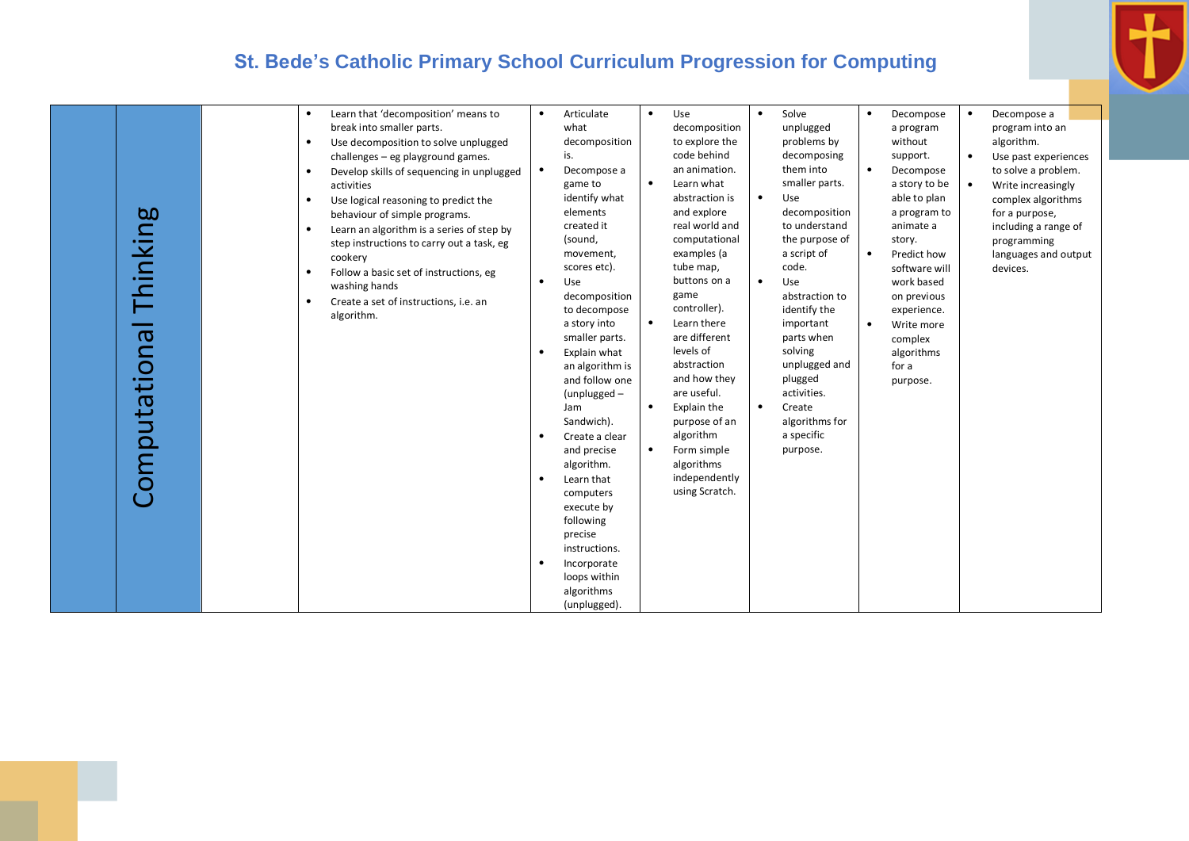

| Thinking<br>Computational | Learn that 'decomposition' means to<br>$\bullet$<br>break into smaller parts.<br>Use decomposition to solve unplugged<br>$\bullet$<br>challenges - eg playground games.<br>Develop skills of sequencing in unplugged<br>activities<br>Use logical reasoning to predict the<br>$\bullet$<br>behaviour of simple programs.<br>Learn an algorithm is a series of step by<br>$\bullet$<br>step instructions to carry out a task, eg<br>cookery<br>Follow a basic set of instructions, eg<br>$\bullet$<br>washing hands<br>Create a set of instructions, i.e. an<br>algorithm. | $\bullet$<br>$\bullet$<br>$\bullet$<br>$\bullet$<br>$\bullet$<br>$\bullet$ | Articulate<br>what<br>decomposition<br>is.<br>Decompose a<br>game to<br>identify what<br>elements<br>created it<br>(sound,<br>movement,<br>scores etc).<br>Use<br>decomposition<br>to decompose<br>a story into<br>smaller parts.<br>Explain what<br>an algorithm is<br>and follow one<br>$(unplugged -$<br>Jam<br>Sandwich).<br>Create a clear<br>and precise<br>algorithm.<br>Learn that<br>computers<br>execute by<br>following<br>precise | $\bullet$<br>$\bullet$<br>$\bullet$<br>$\bullet$ | Use<br>decomposition<br>to explore the<br>code behind<br>an animation.<br>Learn what<br>abstraction is<br>and explore<br>real world and<br>computational<br>examples (a<br>tube map,<br>buttons on a<br>game<br>controller).<br>Learn there<br>are different<br>levels of<br>abstraction<br>and how they<br>are useful.<br>Explain the<br>purpose of an<br>algorithm<br>Form simple<br>algorithms<br>independently<br>using Scratch. | $\bullet$<br>$\bullet$<br>$\bullet$ | Solve<br>unplugged<br>problems by<br>decomposing<br>them into<br>smaller parts.<br>Use<br>decomposition<br>to understand<br>the purpose of<br>a script of<br>code.<br>Use<br>abstraction to<br>identify the<br>important<br>parts when<br>solving<br>unplugged and<br>plugged<br>activities.<br>Create<br>algorithms for<br>a specific<br>purpose. | $\bullet$ | Decompose<br>a program<br>without<br>support.<br>Decompose<br>a story to be<br>able to plan<br>a program to<br>animate a<br>story.<br>Predict how<br>software will<br>work based<br>on previous<br>experience.<br>Write more<br>complex<br>algorithms<br>for a<br>purpose. | Decompose a<br>program into an<br>algorithm.<br>Use past experiences<br>to solve a problem.<br>Write increasingly<br>complex algorithms<br>for a purpose,<br>including a range of<br>programming<br>languages and output<br>devices. |
|---------------------------|---------------------------------------------------------------------------------------------------------------------------------------------------------------------------------------------------------------------------------------------------------------------------------------------------------------------------------------------------------------------------------------------------------------------------------------------------------------------------------------------------------------------------------------------------------------------------|----------------------------------------------------------------------------|-----------------------------------------------------------------------------------------------------------------------------------------------------------------------------------------------------------------------------------------------------------------------------------------------------------------------------------------------------------------------------------------------------------------------------------------------|--------------------------------------------------|--------------------------------------------------------------------------------------------------------------------------------------------------------------------------------------------------------------------------------------------------------------------------------------------------------------------------------------------------------------------------------------------------------------------------------------|-------------------------------------|----------------------------------------------------------------------------------------------------------------------------------------------------------------------------------------------------------------------------------------------------------------------------------------------------------------------------------------------------|-----------|----------------------------------------------------------------------------------------------------------------------------------------------------------------------------------------------------------------------------------------------------------------------------|--------------------------------------------------------------------------------------------------------------------------------------------------------------------------------------------------------------------------------------|
|                           |                                                                                                                                                                                                                                                                                                                                                                                                                                                                                                                                                                           | $\bullet$                                                                  | instructions.<br>Incorporate<br>loops within<br>algorithms<br>(unplugged).                                                                                                                                                                                                                                                                                                                                                                    |                                                  |                                                                                                                                                                                                                                                                                                                                                                                                                                      |                                     |                                                                                                                                                                                                                                                                                                                                                    |           |                                                                                                                                                                                                                                                                            |                                                                                                                                                                                                                                      |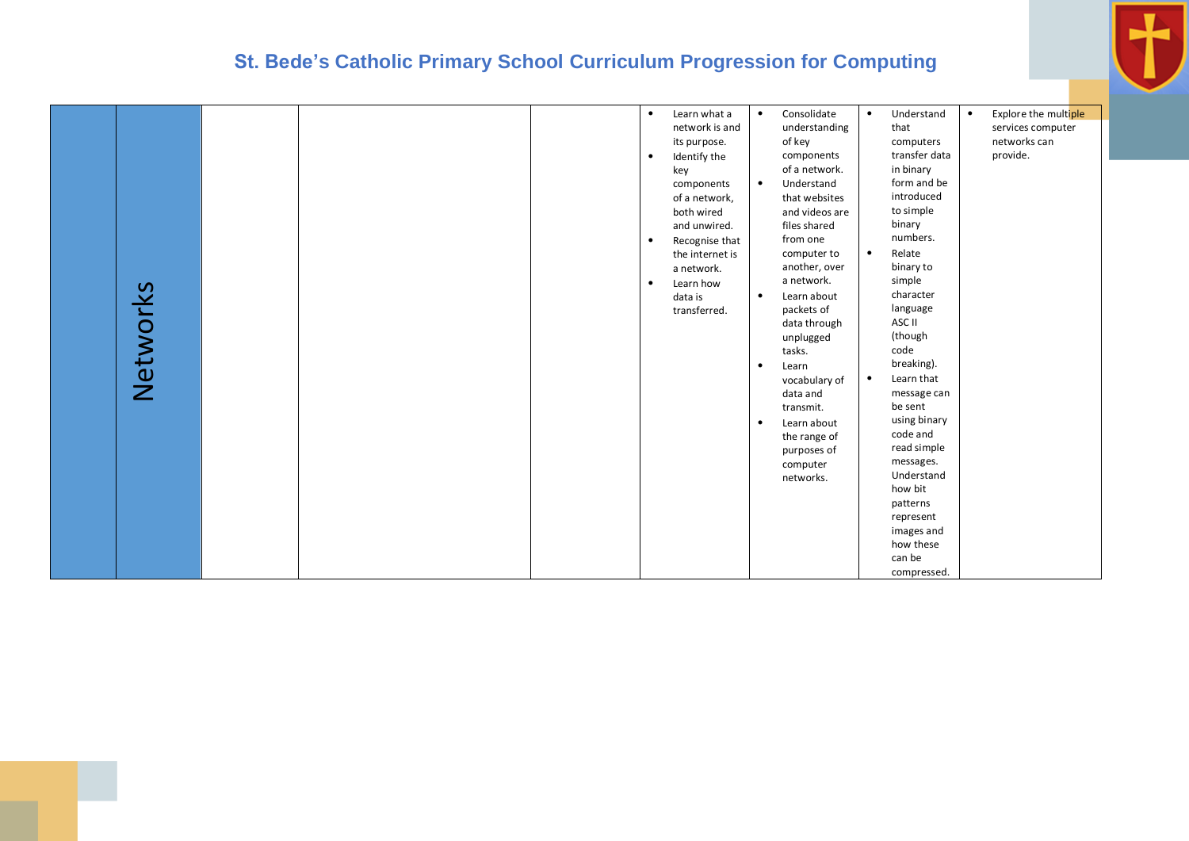|          |  | $\bullet$ | Learn what a    | $\bullet$ | Consolidate    | $\bullet$ | Understand    | $\bullet$ | Explore the multiple |  |
|----------|--|-----------|-----------------|-----------|----------------|-----------|---------------|-----------|----------------------|--|
|          |  |           | network is and  |           | understanding  |           | that          |           | services computer    |  |
|          |  |           | its purpose.    |           | of key         |           | computers     |           | networks can         |  |
|          |  | $\bullet$ | Identify the    |           | components     |           | transfer data |           | provide.             |  |
|          |  |           | key             |           | of a network.  |           | in binary     |           |                      |  |
|          |  |           | components      | $\bullet$ | Understand     |           | form and be   |           |                      |  |
|          |  |           | of a network,   |           | that websites  |           | introduced    |           |                      |  |
|          |  |           | both wired      |           | and videos are |           | to simple     |           |                      |  |
|          |  |           | and unwired.    |           | files shared   |           | binary        |           |                      |  |
|          |  |           | Recognise that  |           | from one       |           | numbers.      |           |                      |  |
|          |  |           | the internet is |           | computer to    | $\bullet$ | Relate        |           |                      |  |
|          |  |           | a network.      |           | another, over  |           | binary to     |           |                      |  |
|          |  |           |                 |           | a network.     |           | simple        |           |                      |  |
| Networks |  | $\bullet$ | Learn how       | $\bullet$ | Learn about    |           | character     |           |                      |  |
|          |  |           | data is         |           |                |           | language      |           |                      |  |
|          |  |           | transferred.    |           | packets of     |           | ASC II        |           |                      |  |
|          |  |           |                 |           | data through   |           | (though       |           |                      |  |
|          |  |           |                 |           | unplugged      |           | code          |           |                      |  |
|          |  |           |                 |           | tasks.         |           |               |           |                      |  |
|          |  |           |                 | $\bullet$ | Learn          |           | breaking).    |           |                      |  |
|          |  |           |                 |           | vocabulary of  | $\bullet$ | Learn that    |           |                      |  |
|          |  |           |                 |           | data and       |           | message can   |           |                      |  |
|          |  |           |                 |           | transmit.      |           | be sent       |           |                      |  |
|          |  |           |                 | $\bullet$ | Learn about    |           | using binary  |           |                      |  |
|          |  |           |                 |           | the range of   |           | code and      |           |                      |  |
|          |  |           |                 |           | purposes of    |           | read simple   |           |                      |  |
|          |  |           |                 |           | computer       |           | messages.     |           |                      |  |
|          |  |           |                 |           | networks.      |           | Understand    |           |                      |  |
|          |  |           |                 |           |                |           | how bit       |           |                      |  |
|          |  |           |                 |           |                |           | patterns      |           |                      |  |
|          |  |           |                 |           |                |           | represent     |           |                      |  |
|          |  |           |                 |           |                |           | images and    |           |                      |  |
|          |  |           |                 |           |                |           | how these     |           |                      |  |
|          |  |           |                 |           |                |           | can be        |           |                      |  |
|          |  |           |                 |           |                |           | compressed.   |           |                      |  |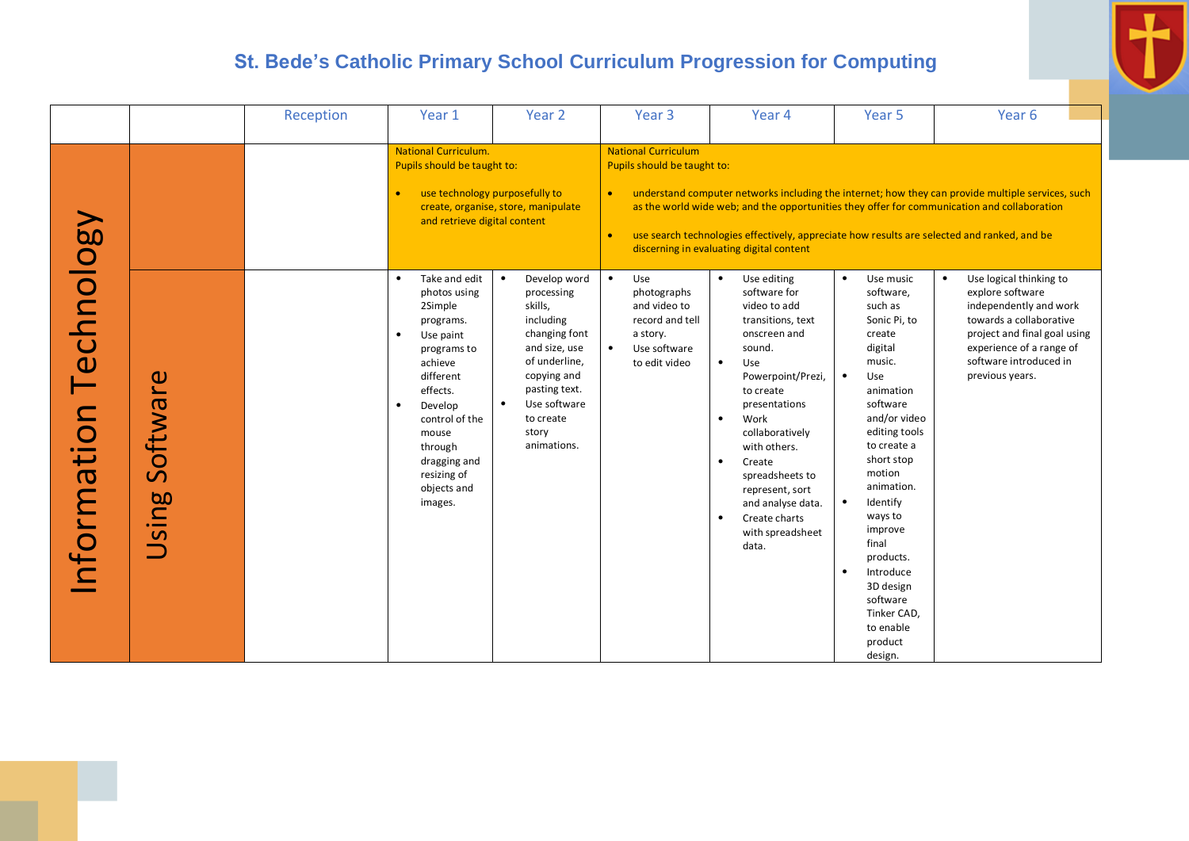

|                       |                                                        | Reception | Year 1                                                                                                                                                                                                                                                                                                                                                                            | Year 2                                                                                                                                                                                                                                                                                        | Year <sub>3</sub>                                                                                                                                                                                      | Year 4                                                                                                                                                                                                                                                                                                                                                                                             | Year 5                                                                                                                                                                                                                                                               | Year 6                                                                                                                                                                                                                                                                                                                                                                                                                                                                                                                    |
|-----------------------|--------------------------------------------------------|-----------|-----------------------------------------------------------------------------------------------------------------------------------------------------------------------------------------------------------------------------------------------------------------------------------------------------------------------------------------------------------------------------------|-----------------------------------------------------------------------------------------------------------------------------------------------------------------------------------------------------------------------------------------------------------------------------------------------|--------------------------------------------------------------------------------------------------------------------------------------------------------------------------------------------------------|----------------------------------------------------------------------------------------------------------------------------------------------------------------------------------------------------------------------------------------------------------------------------------------------------------------------------------------------------------------------------------------------------|----------------------------------------------------------------------------------------------------------------------------------------------------------------------------------------------------------------------------------------------------------------------|---------------------------------------------------------------------------------------------------------------------------------------------------------------------------------------------------------------------------------------------------------------------------------------------------------------------------------------------------------------------------------------------------------------------------------------------------------------------------------------------------------------------------|
| nformation Technology | oftware<br>$\bar{S}$<br><b>bo</b><br>$\mathbf{\Omega}$ |           | <b>National Curriculum.</b><br>Pupils should be taught to:<br>$\bullet$<br>and retrieve digital content<br>Take and edit<br>$\bullet$<br>photos using<br>2Simple<br>programs.<br>$\bullet$<br>Use paint<br>programs to<br>achieve<br>different<br>effects.<br>$\bullet$<br>Develop<br>control of the<br>mouse<br>through<br>dragging and<br>resizing of<br>objects and<br>images. | use technology purposefully to<br>create, organise, store, manipulate<br>Develop word<br>$\bullet$<br>processing<br>skills,<br>including<br>changing font<br>and size, use<br>of underline,<br>copying and<br>pasting text.<br>Use software<br>$\bullet$<br>to create<br>story<br>animations. | <b>National Curriculum</b><br>Pupils should be taught to:<br>$\bullet$<br>$\bullet$<br>Use<br>photographs<br>and video to<br>record and tell<br>a story.<br>Use software<br>$\bullet$<br>to edit video | discerning in evaluating digital content<br>Use editing<br>$\bullet$<br>software for<br>video to add<br>transitions, text<br>onscreen and<br>sound.<br>Use<br>$\bullet$<br>Powerpoint/Prezi,<br>to create<br>presentations<br>Work<br>$\bullet$<br>collaboratively<br>with others.<br>Create<br>$\bullet$<br>spreadsheets to<br>represent, sort<br>and analyse data.<br>Create charts<br>$\bullet$ | $\bullet$<br>Use music<br>software,<br>such as<br>Sonic Pi, to<br>create<br>digital<br>music.<br>$\bullet$<br>Use<br>animation<br>software<br>and/or video<br>editing tools<br>to create a<br>short stop<br>motion<br>animation.<br>$\bullet$<br>Identify<br>ways to | understand computer networks including the internet; how they can provide multiple services, such<br>as the world wide web; and the opportunities they offer for communication and collaboration<br>use search technologies effectively, appreciate how results are selected and ranked, and be<br>$\bullet$<br>Use logical thinking to<br>explore software<br>independently and work<br>towards a collaborative<br>project and final goal using<br>experience of a range of<br>software introduced in<br>previous years. |
|                       | $\cdot$ $-$<br>$\Omega$<br>$\Box$                      |           |                                                                                                                                                                                                                                                                                                                                                                                   |                                                                                                                                                                                                                                                                                               |                                                                                                                                                                                                        | with spreadsheet<br>data.                                                                                                                                                                                                                                                                                                                                                                          | improve<br>final<br>products.<br>$\bullet$<br>Introduce<br>3D design<br>software<br>Tinker CAD,<br>to enable<br>product<br>design.                                                                                                                                   |                                                                                                                                                                                                                                                                                                                                                                                                                                                                                                                           |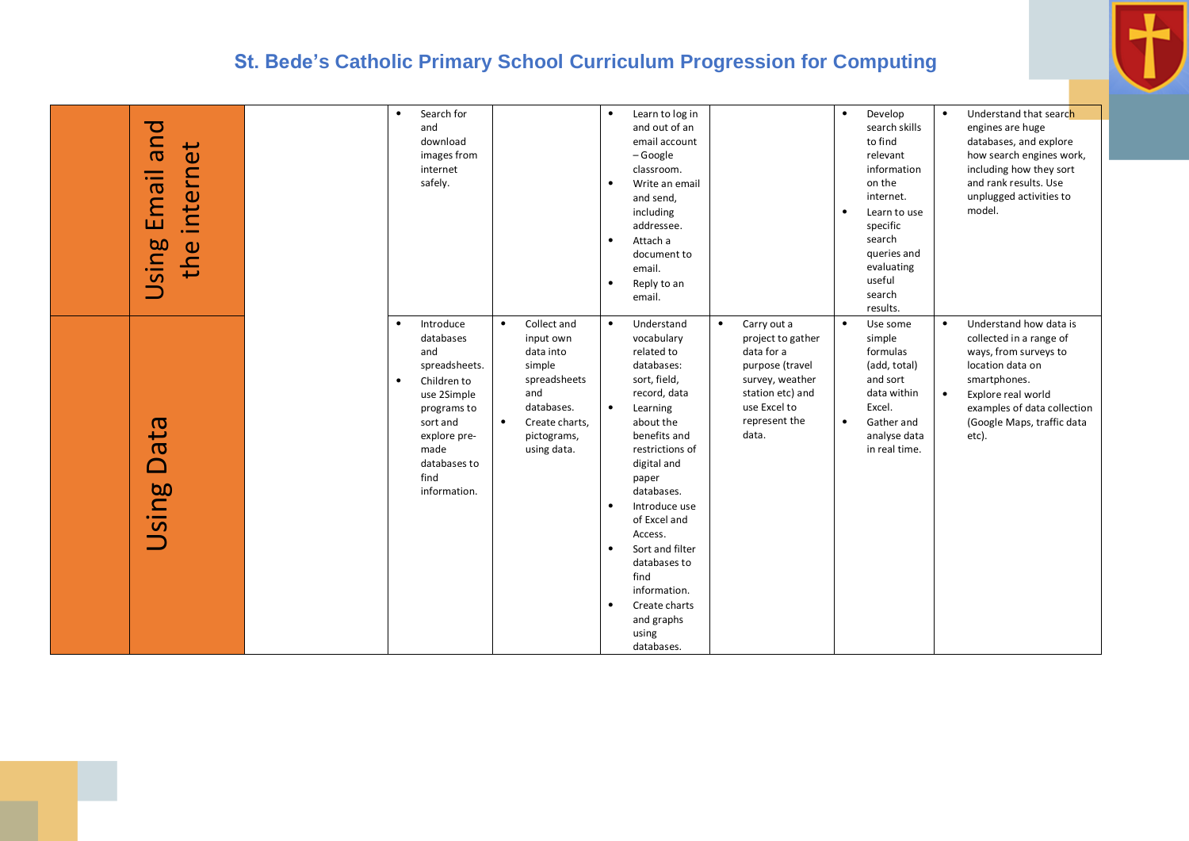| bue<br>$\mathbf{d}$<br>Ē<br>Email<br>inter<br>Using<br>the | Search for<br>$\bullet$<br>and<br>download<br>images from<br>internet<br>safely.                                                                                                                  |                                                                                                                                                                | Learn to log in<br>$\bullet$<br>and out of an<br>email account<br>- Google<br>classroom.<br>Write an email<br>and send,<br>including<br>addressee.<br>Attach a<br>$\bullet$<br>document to<br>email.<br>Reply to an<br>$\bullet$<br>email.                                                                                                                                                                                                                                                                                                                                 | Develop<br>Understand that search<br>$\bullet$<br>$\bullet$<br>search skills<br>engines are huge<br>to find<br>databases, and explore<br>relevant<br>how search engines work,<br>information<br>including how they sort<br>on the<br>and rank results. Use<br>internet.<br>unplugged activities to<br>model.<br>Learn to use<br>$\bullet$<br>specific<br>search<br>queries and<br>evaluating<br>useful<br>search<br>results. |
|------------------------------------------------------------|---------------------------------------------------------------------------------------------------------------------------------------------------------------------------------------------------|----------------------------------------------------------------------------------------------------------------------------------------------------------------|----------------------------------------------------------------------------------------------------------------------------------------------------------------------------------------------------------------------------------------------------------------------------------------------------------------------------------------------------------------------------------------------------------------------------------------------------------------------------------------------------------------------------------------------------------------------------|------------------------------------------------------------------------------------------------------------------------------------------------------------------------------------------------------------------------------------------------------------------------------------------------------------------------------------------------------------------------------------------------------------------------------|
| ata<br>$\Box$<br><b>b.0</b><br>Using                       | Introduce<br>$\bullet$<br>databases<br>and<br>spreadsheets.<br>Children to<br>$\bullet$<br>use 2Simple<br>programs to<br>sort and<br>explore pre-<br>made<br>databases to<br>find<br>information. | $\bullet$<br>Collect and<br>input own<br>data into<br>simple<br>spreadsheets<br>and<br>databases.<br>Create charts,<br>$\bullet$<br>pictograms,<br>using data. | Understand<br>$\bullet$<br>$\bullet$<br>Carry out a<br>vocabulary<br>project to gather<br>related to<br>data for a<br>databases:<br>purpose (travel<br>sort, field,<br>survey, weather<br>record, data<br>station etc) and<br>use Excel to<br>$\bullet$<br>Learning<br>represent the<br>about the<br>data.<br>benefits and<br>restrictions of<br>digital and<br>paper<br>databases.<br>Introduce use<br>$\bullet$<br>of Excel and<br>Access.<br>Sort and filter<br>$\bullet$<br>databases to<br>find<br>information.<br>Create charts<br>and graphs<br>using<br>databases. | Understand how data is<br>$\bullet$<br>Use some<br>$\bullet$<br>simple<br>collected in a range of<br>formulas<br>ways, from surveys to<br>(add, total)<br>location data on<br>smartphones.<br>and sort<br>data within<br>Explore real world<br>$\bullet$<br>Excel.<br>examples of data collection<br>Gather and<br>(Google Maps, traffic data<br>$\bullet$<br>analyse data<br>etc).<br>in real time.                         |

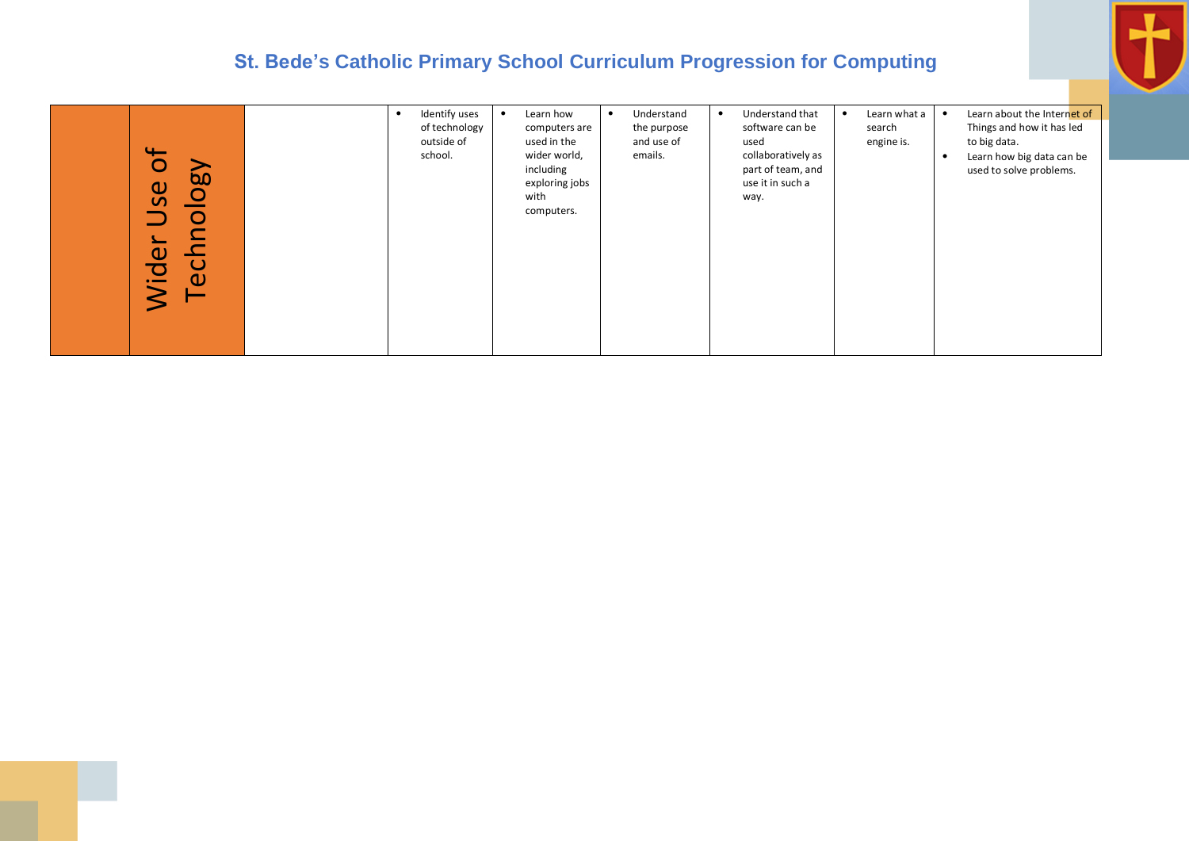

| $\mathcal{P}$<br><b>DO</b><br>$\frac{1}{5}$<br>$\overline{\mathbf{C}}$<br>$\circ$<br>∼<br>$\mathbf{\Omega}$<br>$\blacktriangle$<br>$\mathbf C$<br>$\Xi$<br>$\mathbf 0$ | Identify uses<br>of technology<br>outside of<br>school. | Understand<br>Learn how<br>$\bullet$<br>the purpose<br>computers are<br>and use of<br>used in the<br>wider world,<br>emails.<br>including<br>exploring jobs<br>with<br>computers. | Understand that<br>Learn what a<br>$\bullet$<br>$\overline{\phantom{a}}$<br>software can be<br>search<br>engine is.<br>used<br>collaboratively as<br>part of team, and<br>use it in such a<br>way. | Learn about the Internet of<br>Things and how it has led<br>to big data.<br>Learn how big data can be<br>used to solve problems. |
|------------------------------------------------------------------------------------------------------------------------------------------------------------------------|---------------------------------------------------------|-----------------------------------------------------------------------------------------------------------------------------------------------------------------------------------|----------------------------------------------------------------------------------------------------------------------------------------------------------------------------------------------------|----------------------------------------------------------------------------------------------------------------------------------|
|                                                                                                                                                                        |                                                         |                                                                                                                                                                                   |                                                                                                                                                                                                    |                                                                                                                                  |